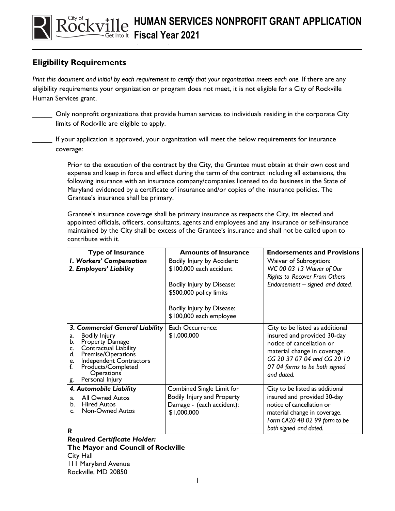## **Eligibility Requirements**

*Print this document and initial by each requirement to certify that your organization meets each one.* If there are any eligibility requirements your organization or program does not meet, it is not eligible for a City of Rockville Human Services grant.

**Instructions**

\_\_\_\_\_ Only nonprofit organizations that provide human services to individuals residing in the corporate City limits of Rockville are eligible to apply.

If your application is approved, your organization will meet the below requirements for insurance coverage:

Prior to the execution of the contract by the City, the Grantee must obtain at their own cost and expense and keep in force and effect during the term of the contract including all extensions, the following insurance with an insurance company/companies licensed to do business in the State of Maryland evidenced by a certificate of insurance and/or copies of the insurance policies. The Grantee's insurance shall be primary.

Grantee's insurance coverage shall be primary insurance as respects the City, its elected and appointed officials, officers, consultants, agents and employees and any insurance or self-insurance maintained by the City shall be excess of the Grantee's insurance and shall not be called upon to contribute with it.

| <b>Type of Insurance</b>                                                                                                                                                                                                                                     | <b>Amounts of Insurance</b>                                                                         | <b>Endorsements and Provisions</b>                                                                                                                                                                        |
|--------------------------------------------------------------------------------------------------------------------------------------------------------------------------------------------------------------------------------------------------------------|-----------------------------------------------------------------------------------------------------|-----------------------------------------------------------------------------------------------------------------------------------------------------------------------------------------------------------|
| I. Workers' Compensation<br>2. Employers' Liability                                                                                                                                                                                                          | Bodily Injury by Accident:<br>\$100,000 each accident                                               | Waiver of Subrogation:<br>WC 00 03 13 Waiver of Our<br>Rights to Recover From Others                                                                                                                      |
|                                                                                                                                                                                                                                                              | Bodily Injury by Disease:<br>\$500,000 policy limits                                                | Endorsement – signed and dated.                                                                                                                                                                           |
|                                                                                                                                                                                                                                                              | Bodily Injury by Disease:<br>\$100,000 each employee                                                |                                                                                                                                                                                                           |
| 3. Commercial General Liability<br><b>Bodily Injury</b><br>a.<br>b.<br>Property Damage<br>Contractual Liability<br>c.<br>d.<br>Premise/Operations<br>Independent Contractors<br>e.<br>f.<br>Products/Completed<br><b>Operations</b><br>Personal Injury<br>g. | Each Occurrence:<br>\$1,000,000                                                                     | City to be listed as additional<br>insured and provided 30-day<br>notice of cancellation or<br>material change in coverage.<br>CG 20 37 07 04 and CG 20 10<br>07 04 forms to be both signed<br>and dated. |
| 4. Automobile Liability<br><b>All Owned Autos</b><br>$a_{\cdot}$<br><b>Hired Autos</b><br>b.<br>Non-Owned Autos<br>$\mathsf{C}$ .<br>$\mathbf R$                                                                                                             | Combined Single Limit for<br>Bodily Injury and Property<br>Damage - (each accident):<br>\$1,000,000 | City to be listed as additional<br>insured and provided 30-day<br>notice of cancellation or<br>material change in coverage.<br>Form CA20 48 02 99 form to be<br>both signed and dated.                    |

*Required Certificate Holder:* **The Mayor and Council of Rockville** City Hall 111 Maryland Avenue Rockville, MD 20850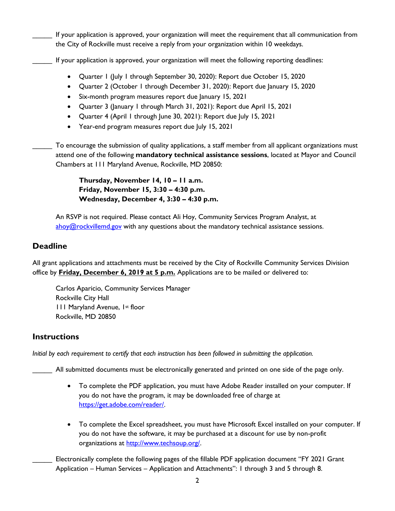If your application is approved, your organization will meet the requirement that all communication from the City of Rockville must receive a reply from your organization within 10 weekdays.

- If your application is approved, your organization will meet the following reporting deadlines:
	- Quarter 1 (July 1 through September 30, 2020): Report due October 15, 2020
	- Quarter 2 (October 1 through December 31, 2020): Report due January 15, 2020
	- Six-month program measures report due lanuary 15, 2021
	- Quarter 3 (January 1 through March 31, 2021): Report due April 15, 2021
	- Quarter 4 (April 1 through June 30, 2021): Report due July 15, 2021
	- Year-end program measures report due July 15, 2021

To encourage the submission of quality applications, a staff member from all applicant organizations must attend one of the following **mandatory technical assistance sessions**, located at Mayor and Council Chambers at 111 Maryland Avenue, Rockville, MD 20850:

> **Thursday, November 14, 10 – 11 a.m. Friday, November 15, 3:30 – 4:30 p.m. Wednesday, December 4, 3:30 – 4:30 p.m.**

An RSVP is not required. Please contact Ali Hoy, Community Services Program Analyst, at  $\frac{\text{above}}{\text{above}}$  controllemd.gov with any questions about the mandatory technical assistance sessions.

## **Deadline**

All grant applications and attachments must be received by the City of Rockville Community Services Division office by **Friday, December 6, 2019 at 5 p.m.** Applications are to be mailed or delivered to:

Carlos Aparicio, Community Services Manager Rockville City Hall 111 Maryland Avenue, 1st floor Rockville, MD 20850

## **Instructions**

*Initial by each requirement to certify that each instruction has been followed in submitting the application.*

All submitted documents must be electronically generated and printed on one side of the page only.

- To complete the PDF application, you must have Adobe Reader installed on your computer. If you do not have the program, it may be downloaded free of charge at [https://get.adobe.com/reader/.](https://get.adobe.com/reader/)
- To complete the Excel spreadsheet, you must have Microsoft Excel installed on your computer. If you do not have the software, it may be purchased at a discount for use by non-profit organizations at [http://www.techsoup.org/.](http://www.techsoup.org/)
- Electronically complete the following pages of the fillable PDF application document "FY 2021 Grant Application – Human Services – Application and Attachments": 1 through 3 and 5 through 8.